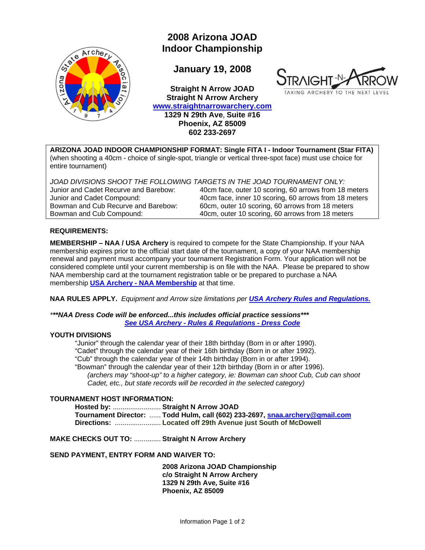

# **2008 Arizona JOAD Indoor Championship**

**January 19, 2008** 

**Straight N Arrow JOAD Straight N Arrow Archery [www.straightnarrowarchery.com](http://www.straightnarrowarchery.com/about_us.html)  1329 N 29th Ave**, **Suite #16 Phoenix, AZ 85009 602 233-2697** 



**ARIZONA JOAD INDOOR CHAMPIONSHIP FORMAT: Single FITA I - Indoor Tournament (Star FITA)**  (when shooting a 40cm - choice of single-spot, triangle or vertical three-spot face) must use choice for entire tournament)

*JOAD DIVISIONS SHOOT THE FOLLOWING TARGETS IN THE JOAD TOURNAMENT ONLY:* 

Junior and Cadet Recurve and Barebow: 40cm face, outer 10 scoring, 60 arrows from 18 meters Junior and Cadet Compound: 40cm face, inner 10 scoring, 60 arrows from 18 meters Bowman and Cub Recurve and Barebow: 60cm, outer 10 scoring, 60 arrows from 18 meters<br>Bowman and Cub Compound: 40cm, outer 10 scoring, 60 arrows from 18 meters 40cm, outer 10 scoring, 60 arrows from 18 meters

#### **REQUIREMENTS:**

**MEMBERSHIP – NAA / USA Archery** is required to compete for the State Championship. If your NAA membership expires prior to the official start date of the tournament, a copy of your NAA membership renewal and payment must accompany your tournament Registration Form. Your application will not be considered complete until your current membership is on file with the NAA. Please be prepared to show NAA membership card at the tournament registration table or be prepared to purchase a NAA membership **[USA Archery - NAA Membership](http://www.usarchery.org/usarchery/html/Membership.html)** at that time.

**NAA RULES APPLY.** *Equipment and Arrow size limitations per [USA Archery Rules and Regulations.](http://www.usarchery.org/usarchery/html/RulesRegulations.html)*

*\*\*\*NAA Dress Code will be enforced...this includes official practice sessions\*\*\* [See USA Archery - Rules & Regulations - Dress Code](http://www.usarchery.org/usarchery/html/RulesRegulations.html)*

#### **YOUTH DIVISIONS**

"Junior" through the calendar year of their 18th birthday (Born in or after 1990). "Cadet" through the calendar year of their 16th birthday (Born in or after 1992). "Cub" through the calendar year of their 14th birthday (Born in or after 1994). "Bowman" through the calendar year of their 12th birthday (Born in or after 1996). *(archers may "shoot-up" to a higher category, ie: Bowman can shoot Cub, Cub can shoot Cadet, etc., but state records will be recorded in the selected category)* 

### **TOURNAMENT HOST INFORMATION:**

**Hosted by:** ......................... **Straight N Arrow JOAD Tournament Director:** ...... **Todd Hulm, call (602) 233-2697, [snaa.archery@gmail.com](mailto:snaa.archery@gmail.com) Directions:** ........................ **Located off 29th Avenue just South of McDowell**

**MAKE CHECKS OUT TO:** .............. **Straight N Arrow Archery** 

#### **SEND PAYMENT, ENTRY FORM AND WAIVER TO:**

**2008 Arizona JOAD Championship c/o Straight N Arrow Archery 1329 N 29th Ave, Suite #16 Phoenix, AZ 85009**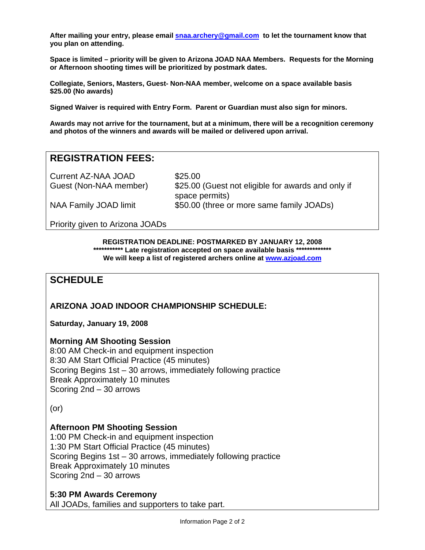**After mailing your entry, please email [snaa.archery@gmail.com](mailto:snaa.archery@gmail.com) to let the tournament know that you plan on attending.** 

**Space is limited – priority will be given to Arizona JOAD NAA Members. Requests for the Morning or Afternoon shooting times will be prioritized by postmark dates.** 

**Collegiate, Seniors, Masters, Guest- Non-NAA member, welcome on a space available basis \$25.00 (No awards)** 

**Signed Waiver is required with Entry Form. Parent or Guardian must also sign for minors.** 

**Awards may not arrive for the tournament, but at a minimum, there will be a recognition ceremony and photos of the winners and awards will be mailed or delivered upon arrival.** 

# **REGISTRATION FEES:**

Current AZ-NAA JOAD \$25.00

Guest (Non-NAA member) \$25.00 (Guest not eligible for awards and only if space permits) NAA Family JOAD limit \$50.00 (three or more same family JOADs)

Priority given to Arizona JOADs

**REGISTRATION DEADLINE: POSTMARKED BY JANUARY 12, 2008 \*\*\*\*\*\*\*\*\*\*\* Late registration accepted on space available basis \*\*\*\*\*\*\*\*\*\*\*\*\* We will keep a list of registered archers online at [www.azjoad.com](http://www.azjoad.com/)** 

## **SCHEDULE**

**ARIZONA JOAD INDOOR CHAMPIONSHIP SCHEDULE:** 

**Saturday, January 19, 2008** 

#### **Morning AM Shooting Session**

8:00 AM Check-in and equipment inspection 8:30 AM Start Official Practice (45 minutes) Scoring Begins 1st – 30 arrows, immediately following practice Break Approximately 10 minutes Scoring 2nd – 30 arrows

(or)

#### **Afternoon PM Shooting Session**

1:00 PM Check-in and equipment inspection 1:30 PM Start Official Practice (45 minutes) Scoring Begins 1st – 30 arrows, immediately following practice Break Approximately 10 minutes Scoring 2nd – 30 arrows

**5:30 PM Awards Ceremony**

All JOADs, families and supporters to take part.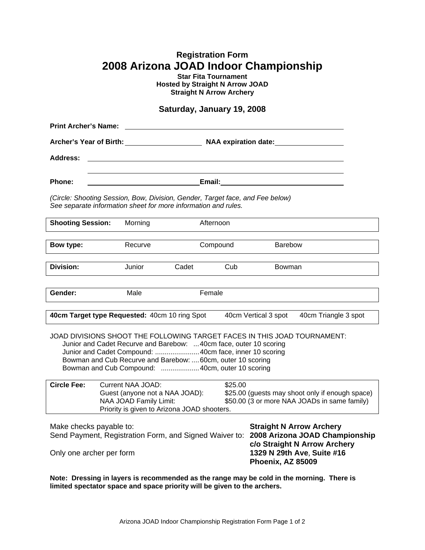# **Registration Form 2008 Arizona JOAD Indoor Championship**

**Star Fita Tournament Hosted by Straight N Arrow JOAD Straight N Arrow Archery** 

## **Saturday, January 19, 2008**

| <b>Print Archer's Name:</b>                                                                                                                                                                                                                                                                                                 |                                                                                                                                                                                                                                                   |           |          |                                                                                                                    |  |
|-----------------------------------------------------------------------------------------------------------------------------------------------------------------------------------------------------------------------------------------------------------------------------------------------------------------------------|---------------------------------------------------------------------------------------------------------------------------------------------------------------------------------------------------------------------------------------------------|-----------|----------|--------------------------------------------------------------------------------------------------------------------|--|
| Archer's Year of Birth: NAA expiration date:                                                                                                                                                                                                                                                                                |                                                                                                                                                                                                                                                   |           |          |                                                                                                                    |  |
| <b>Address:</b>                                                                                                                                                                                                                                                                                                             |                                                                                                                                                                                                                                                   |           |          |                                                                                                                    |  |
|                                                                                                                                                                                                                                                                                                                             |                                                                                                                                                                                                                                                   |           |          |                                                                                                                    |  |
| Email:<br><b>Phone:</b>                                                                                                                                                                                                                                                                                                     |                                                                                                                                                                                                                                                   |           |          |                                                                                                                    |  |
| (Circle: Shooting Session, Bow, Division, Gender, Target face, and Fee below)<br>See separate information sheet for more information and rules.                                                                                                                                                                             |                                                                                                                                                                                                                                                   |           |          |                                                                                                                    |  |
| <b>Shooting Session:</b>                                                                                                                                                                                                                                                                                                    | Morning                                                                                                                                                                                                                                           | Afternoon |          |                                                                                                                    |  |
| Bow type:                                                                                                                                                                                                                                                                                                                   | Recurve                                                                                                                                                                                                                                           |           | Compound | <b>Barebow</b>                                                                                                     |  |
| Division:                                                                                                                                                                                                                                                                                                                   | Junior                                                                                                                                                                                                                                            | Cadet     | Cub      | Bowman                                                                                                             |  |
|                                                                                                                                                                                                                                                                                                                             |                                                                                                                                                                                                                                                   |           |          |                                                                                                                    |  |
| Gender:                                                                                                                                                                                                                                                                                                                     | Male                                                                                                                                                                                                                                              | Female    |          |                                                                                                                    |  |
| 40cm Target type Requested: 40cm 10 ring Spot<br>40cm Vertical 3 spot<br>40cm Triangle 3 spot                                                                                                                                                                                                                               |                                                                                                                                                                                                                                                   |           |          |                                                                                                                    |  |
| JOAD DIVISIONS SHOOT THE FOLLOWING TARGET FACES IN THIS JOAD TOURNAMENT:<br>Junior and Cadet Recurve and Barebow: 40cm face, outer 10 scoring<br>Junior and Cadet Compound:  40cm face, inner 10 scoring<br>Bowman and Cub Recurve and Barebow:  60cm, outer 10 scoring<br>Bowman and Cub Compound:  40cm, outer 10 scoring |                                                                                                                                                                                                                                                   |           |          |                                                                                                                    |  |
| <b>Circle Fee:</b>                                                                                                                                                                                                                                                                                                          | <b>Current NAA JOAD:</b><br>\$25.00<br>Guest (anyone not a NAA JOAD):<br>\$25.00 (guests may shoot only if enough space)<br>NAA JOAD Family Limit:<br>\$50.00 (3 or more NAA JOADs in same family)<br>Priority is given to Arizona JOAD shooters. |           |          |                                                                                                                    |  |
| Make checks payable to:<br>Send Payment, Registration Form, and Signed Waiver to: 2008 Arizona JOAD Championship<br>Only one archer per form                                                                                                                                                                                |                                                                                                                                                                                                                                                   |           |          | <b>Straight N Arrow Archery</b><br>c/o Straight N Arrow Archery<br>1329 N 29th Ave, Suite #16<br>Phoenix, AZ 85009 |  |

**Note: Dressing in layers is recommended as the range may be cold in the morning. There is limited spectator space and space priority will be given to the archers.**